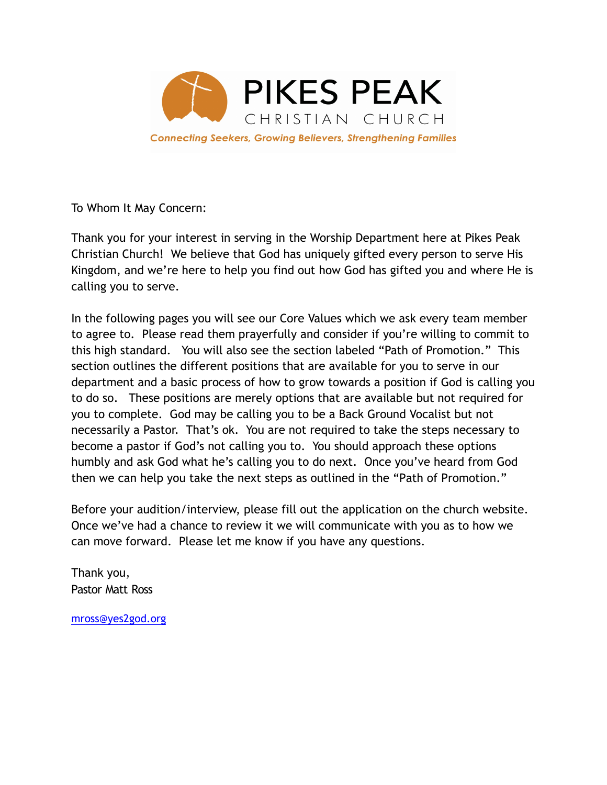

To Whom It May Concern:

Thank you for your interest in serving in the Worship Department here at Pikes Peak Christian Church! We believe that God has uniquely gifted every person to serve His Kingdom, and we're here to help you find out how God has gifted you and where He is calling you to serve.

In the following pages you will see our Core Values which we ask every team member to agree to. Please read them prayerfully and consider if you're willing to commit to this high standard. You will also see the section labeled "Path of Promotion." This section outlines the different positions that are available for you to serve in our department and a basic process of how to grow towards a position if God is calling you to do so. These positions are merely options that are available but not required for you to complete. God may be calling you to be a Back Ground Vocalist but not necessarily a Pastor. That's ok. You are not required to take the steps necessary to become a pastor if God's not calling you to. You should approach these options humbly and ask God what he's calling you to do next. Once you've heard from God then we can help you take the next steps as outlined in the "Path of Promotion."

Before your audition/interview, please fill out the application on the church website. Once we've had a chance to review it we will communicate with you as to how we can move forward. Please let me know if you have any questions.

Thank you, Pastor Matt Ross

[mross@yes2god.org](mailto:mross@yes2god.org)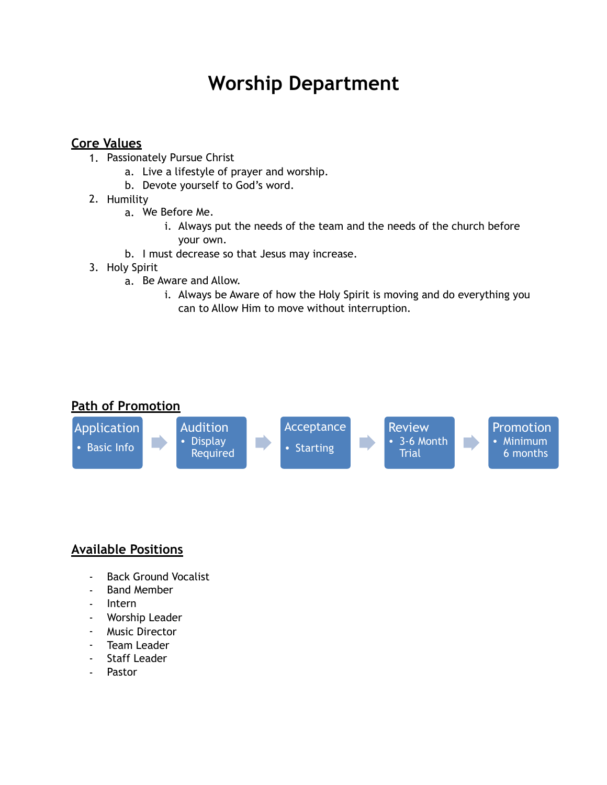# **Worship Department**

# **Core Values**

- 1. Passionately Pursue Christ
	- a. Live a lifestyle of prayer and worship.
	- b. Devote yourself to God's word.
- 2. Humility
	- a. We Before Me.
		- i. Always put the needs of the team and the needs of the church before your own.
	- b. I must decrease so that Jesus may increase.
- 3. Holy Spirit
	- a. Be Aware and Allow.
		- i. Always be Aware of how the Holy Spirit is moving and do everything you can to Allow Him to move without interruption.

# **Path of Promotion**



# **Available Positions**

- Back Ground Vocalist
- Band Member
- Intern
- Worship Leader
- Music Director
- Team Leader
- Staff Leader
- Pastor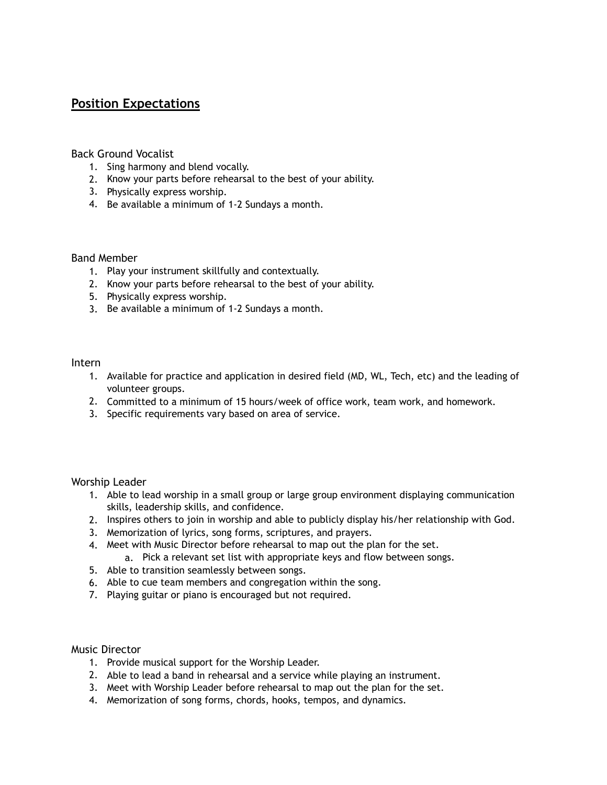## **Position Expectations**

## Back Ground Vocalist

- 1. Sing harmony and blend vocally.
- 2. Know your parts before rehearsal to the best of your ability.
- 3. Physically express worship.
- 4. Be available a minimum of 1-2 Sundays a month.

### Band Member

- 1. Play your instrument skillfully and contextually.
- 2. Know your parts before rehearsal to the best of your ability.
- 5. Physically express worship.
- 3. Be available a minimum of 1-2 Sundays a month.

#### Intern

- 1. Available for practice and application in desired field (MD, WL, Tech, etc) and the leading of volunteer groups.
- 2. Committed to a minimum of 15 hours/week of office work, team work, and homework.
- 3. Specific requirements vary based on area of service.

Worship Leader

- 1. Able to lead worship in a small group or large group environment displaying communication skills, leadership skills, and confidence.
- 2. Inspires others to join in worship and able to publicly display his/her relationship with God.
- 3. Memorization of lyrics, song forms, scriptures, and prayers.
- 4. Meet with Music Director before rehearsal to map out the plan for the set.
	- a. Pick a relevant set list with appropriate keys and flow between songs.
- 5. Able to transition seamlessly between songs.
- 6. Able to cue team members and congregation within the song.
- 7. Playing guitar or piano is encouraged but not required.

Music Director

- 1. Provide musical support for the Worship Leader.
- 2. Able to lead a band in rehearsal and a service while playing an instrument.
- 3. Meet with Worship Leader before rehearsal to map out the plan for the set.
- 4. Memorization of song forms, chords, hooks, tempos, and dynamics.